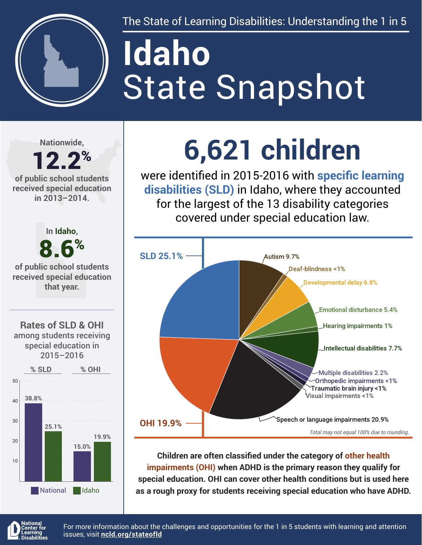

The State of Learning Disabilities: Understanding the 1 in 5

# State Snapshot **Idaho**

**Nationwide,**

### 12.2% **of public school students**

**received special education in 2013–2014.**



## **6,621 children**

were identified in 2015-2016 with **specific learning disabilities (SLD)** in Idaho, where they accounted for the largest of the 13 disability categories covered under special education law.



**Children are often classified under the category of other health impairments (OHI) when ADHD is the primary reason they qualify for special education. OHI can cover other health conditions but is used here as a rough proxy for students receiving special education who have ADHD.**



For more information about the challenges and opportunities for the 1 in 5 students with learning and attention issues, visit **[ncld.org/stateofld](http://ncld.org/stateofld)**